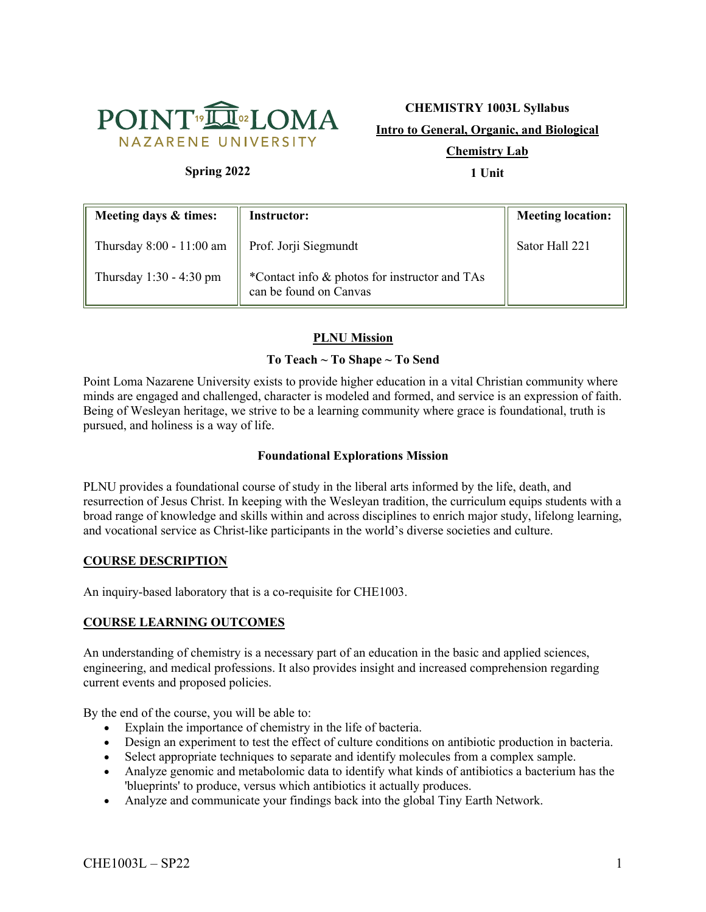

# **CHEMISTRY 1003L Syllabus Intro to General, Organic, and Biological Chemistry Lab**

# **Spring 2022**

**1 Unit**

| Meeting days & times:    | <b>Instructor:</b>                                                      | <b>Meeting location:</b> |
|--------------------------|-------------------------------------------------------------------------|--------------------------|
| Thursday 8:00 - 11:00 am | $\parallel$ Prof. Jorji Siegmundt                                       | Sator Hall 221           |
| Thursday 1:30 - 4:30 pm  | *Contact info & photos for instructor and TAs<br>can be found on Canvas |                          |

# **PLNU Mission**

## **To Teach ~ To Shape ~ To Send**

Point Loma Nazarene University exists to provide higher education in a vital Christian community where minds are engaged and challenged, character is modeled and formed, and service is an expression of faith. Being of Wesleyan heritage, we strive to be a learning community where grace is foundational, truth is pursued, and holiness is a way of life.

#### **Foundational Explorations Mission**

PLNU provides a foundational course of study in the liberal arts informed by the life, death, and resurrection of Jesus Christ. In keeping with the Wesleyan tradition, the curriculum equips students with a broad range of knowledge and skills within and across disciplines to enrich major study, lifelong learning, and vocational service as Christ-like participants in the world's diverse societies and culture.

## **COURSE DESCRIPTION**

An inquiry-based laboratory that is a co-requisite for CHE1003.

#### **COURSE LEARNING OUTCOMES**

An understanding of chemistry is a necessary part of an education in the basic and applied sciences, engineering, and medical professions. It also provides insight and increased comprehension regarding current events and proposed policies.

By the end of the course, you will be able to:

- Explain the importance of chemistry in the life of bacteria.
- Design an experiment to test the effect of culture conditions on antibiotic production in bacteria.
- Select appropriate techniques to separate and identify molecules from a complex sample.
- Analyze genomic and metabolomic data to identify what kinds of antibiotics a bacterium has the 'blueprints' to produce, versus which antibiotics it actually produces.
- Analyze and communicate your findings back into the global Tiny Earth Network.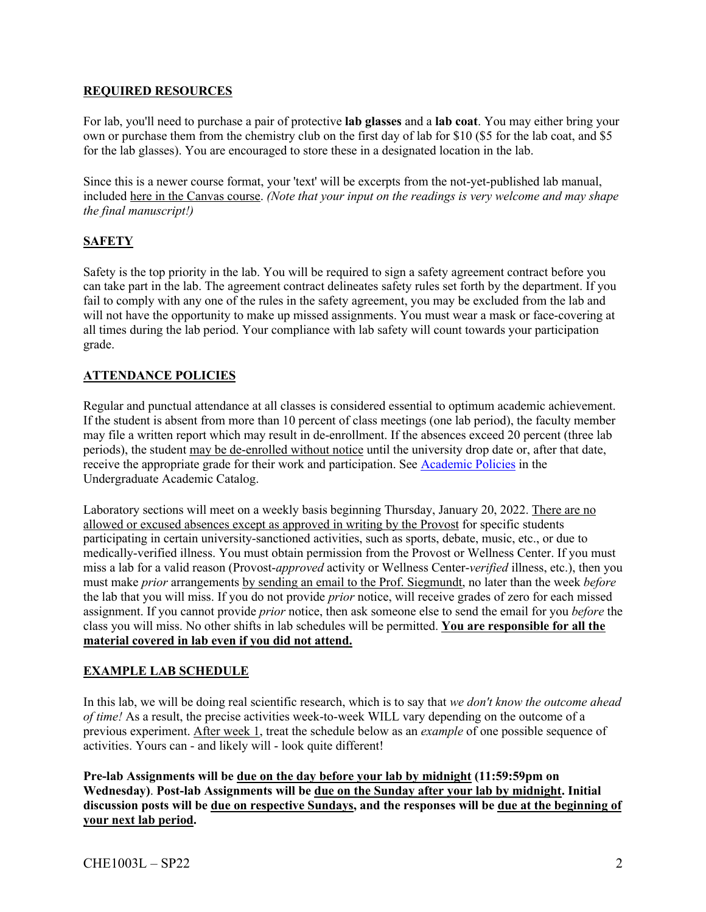#### **REQUIRED RESOURCES**

For lab, you'll need to purchase a pair of protective **lab glasses** and a **lab coat**. You may either bring your own or purchase them from the chemistry club on the first day of lab for \$10 (\$5 for the lab coat, and \$5 for the lab glasses). You are encouraged to store these in a designated location in the lab.

Since this is a newer course format, your 'text' will be excerpts from the not-yet-published lab manual, included here in the Canvas course. *(Note that your input on the readings is very welcome and may shape the final manuscript!)*

# **SAFETY**

Safety is the top priority in the lab. You will be required to sign a safety agreement contract before you can take part in the lab. The agreement contract delineates safety rules set forth by the department. If you fail to comply with any one of the rules in the safety agreement, you may be excluded from the lab and will not have the opportunity to make up missed assignments. You must wear a mask or face-covering at all times during the lab period. Your compliance with lab safety will count towards your participation grade.

## **ATTENDANCE POLICIES**

Regular and punctual attendance at all classes is considered essential to optimum academic achievement. If the student is absent from more than 10 percent of class meetings (one lab period), the faculty member may file a written report which may result in de-enrollment. If the absences exceed 20 percent (three lab periods), the student may be de-enrolled without notice until the university drop date or, after that date, receive the appropriate grade for their work and participation. See Academic Policies in the Undergraduate Academic Catalog.

Laboratory sections will meet on a weekly basis beginning Thursday, January 20, 2022. There are no allowed or excused absences except as approved in writing by the Provost for specific students participating in certain university-sanctioned activities, such as sports, debate, music, etc., or due to medically-verified illness. You must obtain permission from the Provost or Wellness Center. If you must miss a lab for a valid reason (Provost-*approved* activity or Wellness Center-*verified* illness, etc.), then you must make *prior* arrangements by sending an email to the Prof. Siegmundt, no later than the week *before* the lab that you will miss. If you do not provide *prior* notice, will receive grades of zero for each missed assignment. If you cannot provide *prior* notice, then ask someone else to send the email for you *before* the class you will miss. No other shifts in lab schedules will be permitted. **You are responsible for all the material covered in lab even if you did not attend.**

## **EXAMPLE LAB SCHEDULE**

In this lab, we will be doing real scientific research, which is to say that *we don't know the outcome ahead of time!* As a result, the precise activities week-to-week WILL vary depending on the outcome of a previous experiment. After week 1, treat the schedule below as an *example* of one possible sequence of activities. Yours can - and likely will - look quite different!

**Pre-lab Assignments will be due on the day before your lab by midnight (11:59:59pm on Wednesday)**. **Post-lab Assignments will be due on the Sunday after your lab by midnight. Initial discussion posts will be due on respective Sundays, and the responses will be due at the beginning of your next lab period.**

 $CHE1003L - SP22$  2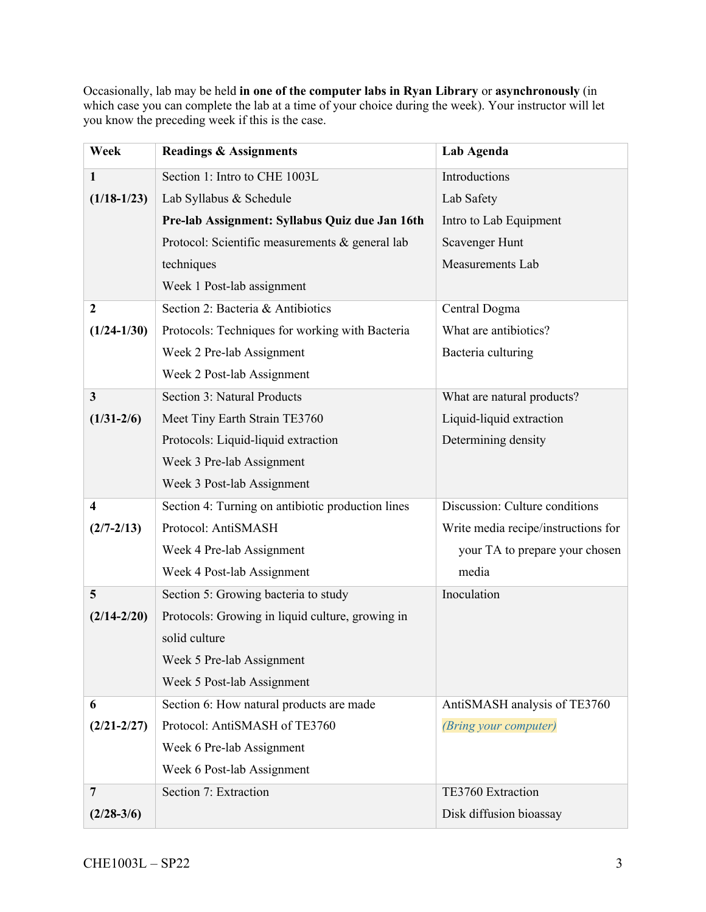Occasionally, lab may be held **in one of the computer labs in Ryan Library** or **asynchronously** (in which case you can complete the lab at a time of your choice during the week). Your instructor will let you know the preceding week if this is the case.

| Week                    | <b>Readings &amp; Assignments</b>                 | Lab Agenda                          |
|-------------------------|---------------------------------------------------|-------------------------------------|
| $\mathbf{1}$            | Section 1: Intro to CHE 1003L                     | Introductions                       |
| $(1/18-1/23)$           | Lab Syllabus & Schedule                           | Lab Safety                          |
|                         | Pre-lab Assignment: Syllabus Quiz due Jan 16th    | Intro to Lab Equipment              |
|                         | Protocol: Scientific measurements & general lab   | Scavenger Hunt                      |
|                         | techniques                                        | Measurements Lab                    |
|                         | Week 1 Post-lab assignment                        |                                     |
| $\boldsymbol{2}$        | Section 2: Bacteria & Antibiotics                 | Central Dogma                       |
| $(1/24-1/30)$           | Protocols: Techniques for working with Bacteria   | What are antibiotics?               |
|                         | Week 2 Pre-lab Assignment                         | Bacteria culturing                  |
|                         | Week 2 Post-lab Assignment                        |                                     |
| 3                       | <b>Section 3: Natural Products</b>                | What are natural products?          |
| $(1/31 - 2/6)$          | Meet Tiny Earth Strain TE3760                     | Liquid-liquid extraction            |
|                         | Protocols: Liquid-liquid extraction               | Determining density                 |
|                         | Week 3 Pre-lab Assignment                         |                                     |
|                         | Week 3 Post-lab Assignment                        |                                     |
| $\overline{\mathbf{4}}$ | Section 4: Turning on antibiotic production lines | Discussion: Culture conditions      |
| $(2/7 - 2/13)$          | Protocol: AntiSMASH                               | Write media recipe/instructions for |
|                         | Week 4 Pre-lab Assignment                         | your TA to prepare your chosen      |
|                         | Week 4 Post-lab Assignment                        | media                               |
| 5                       | Section 5: Growing bacteria to study              | Inoculation                         |
| $(2/14 - 2/20)$         | Protocols: Growing in liquid culture, growing in  |                                     |
|                         | solid culture                                     |                                     |
|                         | Week 5 Pre-lab Assignment                         |                                     |
|                         | Week 5 Post-lab Assignment                        |                                     |
| 6                       | Section 6: How natural products are made          | AntiSMASH analysis of TE3760        |
| $(2/21 - 2/27)$         | Protocol: AntiSMASH of TE3760                     | (Bring your computer)               |
|                         | Week 6 Pre-lab Assignment                         |                                     |
|                         | Week 6 Post-lab Assignment                        |                                     |
| 7                       | Section 7: Extraction                             | TE3760 Extraction                   |
| $(2/28-3/6)$            |                                                   | Disk diffusion bioassay             |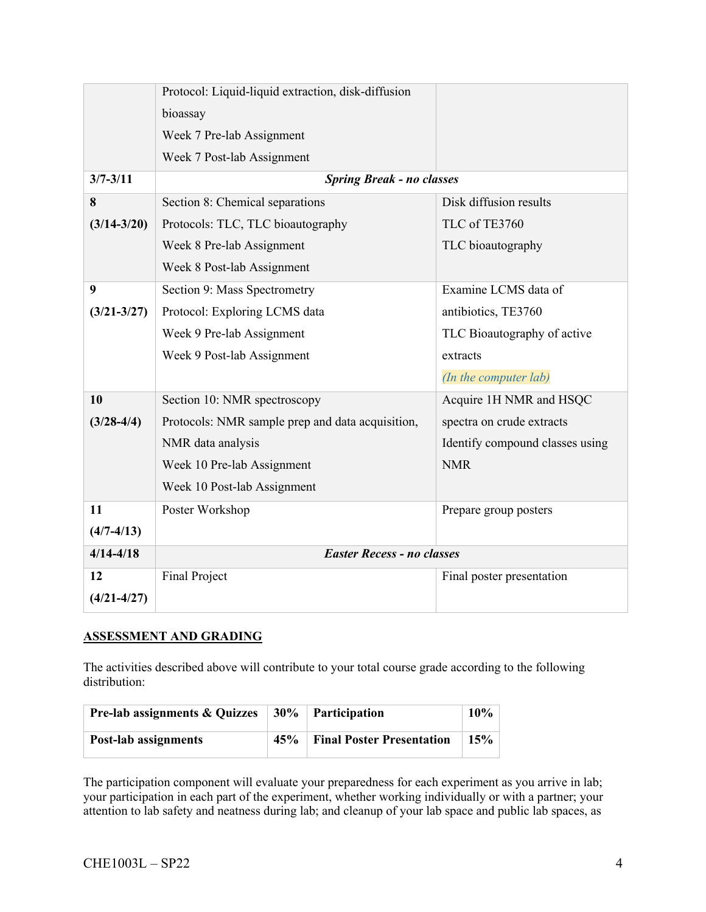|                 | Protocol: Liquid-liquid extraction, disk-diffusion |                                 |  |
|-----------------|----------------------------------------------------|---------------------------------|--|
|                 | bioassay                                           |                                 |  |
|                 | Week 7 Pre-lab Assignment                          |                                 |  |
|                 | Week 7 Post-lab Assignment                         |                                 |  |
| $3/7 - 3/11$    | <b>Spring Break - no classes</b>                   |                                 |  |
| 8               | Section 8: Chemical separations                    | Disk diffusion results          |  |
| $(3/14 - 3/20)$ | Protocols: TLC, TLC bioautography                  | TLC of TE3760                   |  |
|                 | Week 8 Pre-lab Assignment                          | TLC bioautography               |  |
|                 | Week 8 Post-lab Assignment                         |                                 |  |
| 9               | Section 9: Mass Spectrometry                       | Examine LCMS data of            |  |
| $(3/21 - 3/27)$ | Protocol: Exploring LCMS data                      | antibiotics, TE3760             |  |
|                 | Week 9 Pre-lab Assignment                          | TLC Bioautography of active     |  |
|                 | Week 9 Post-lab Assignment                         | extracts                        |  |
|                 |                                                    | (In the computer lab)           |  |
| 10              | Section 10: NMR spectroscopy                       | Acquire 1H NMR and HSQC         |  |
| $(3/28-4/4)$    | Protocols: NMR sample prep and data acquisition,   | spectra on crude extracts       |  |
|                 | NMR data analysis                                  | Identify compound classes using |  |
|                 | Week 10 Pre-lab Assignment                         | <b>NMR</b>                      |  |
|                 | Week 10 Post-lab Assignment                        |                                 |  |
| 11              | Poster Workshop                                    | Prepare group posters           |  |
| $(4/7-4/13)$    |                                                    |                                 |  |
| $4/14 - 4/18$   | <b>Easter Recess - no classes</b>                  |                                 |  |
| 12              | <b>Final Project</b>                               | Final poster presentation       |  |
| $(4/21 - 4/27)$ |                                                    |                                 |  |

## **ASSESSMENT AND GRADING**

The activities described above will contribute to your total course grade according to the following distribution:

| <b>Pre-lab assignments &amp; Quizzes</b> |     | $30\%$ Participation             | $10\%$ |
|------------------------------------------|-----|----------------------------------|--------|
| <b>Post-lab assignments</b>              | 45% | <b>Final Poster Presentation</b> | 15%    |

The participation component will evaluate your preparedness for each experiment as you arrive in lab; your participation in each part of the experiment, whether working individually or with a partner; your attention to lab safety and neatness during lab; and cleanup of your lab space and public lab spaces, as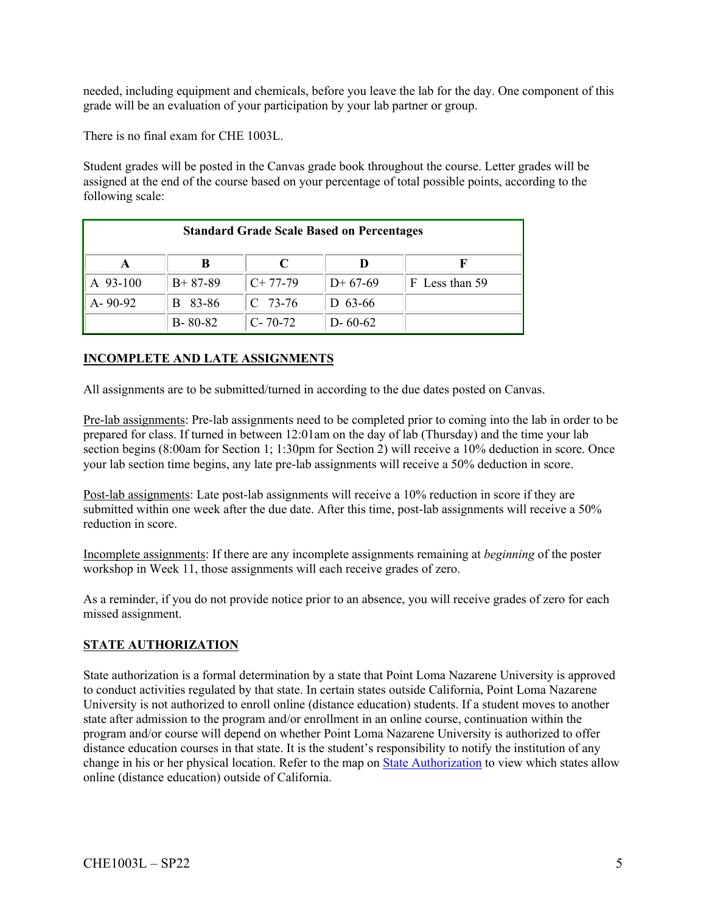needed, including equipment and chemicals, before you leave the lab for the day. One component of this grade will be an evaluation of your participation by your lab partner or group.

There is no final exam for CHE 1003L.

Student grades will be posted in the Canvas grade book throughout the course. Letter grades will be assigned at the end of the course based on your percentage of total possible points, according to the following scale:

| <b>Standard Grade Scale Based on Percentages</b> |               |               |               |                |  |
|--------------------------------------------------|---------------|---------------|---------------|----------------|--|
| A                                                | В             | C             |               |                |  |
| A 93-100                                         | $B+87-89$     | $C+77-79$     | $D+67-69$     | F Less than 59 |  |
| $A - 90 - 92$                                    | 83-86<br>B.   | $C$ 73-76     | D $63-66$     |                |  |
|                                                  | $B - 80 - 82$ | $C - 70 - 72$ | $D - 60 - 62$ |                |  |

# **INCOMPLETE AND LATE ASSIGNMENTS**

All assignments are to be submitted/turned in according to the due dates posted on Canvas.

Pre-lab assignments: Pre-lab assignments need to be completed prior to coming into the lab in order to be prepared for class. If turned in between 12:01am on the day of lab (Thursday) and the time your lab section begins (8:00am for Section 1; 1:30pm for Section 2) will receive a 10% deduction in score. Once your lab section time begins, any late pre-lab assignments will receive a 50% deduction in score.

Post-lab assignments: Late post-lab assignments will receive a 10% reduction in score if they are submitted within one week after the due date. After this time, post-lab assignments will receive a 50% reduction in score.

Incomplete assignments: If there are any incomplete assignments remaining at *beginning* of the poster workshop in Week 11, those assignments will each receive grades of zero.

As a reminder, if you do not provide notice prior to an absence, you will receive grades of zero for each missed assignment.

#### **STATE AUTHORIZATION**

State authorization is a formal determination by a state that Point Loma Nazarene University is approved to conduct activities regulated by that state. In certain states outside California, Point Loma Nazarene University is not authorized to enroll online (distance education) students. If a student moves to another state after admission to the program and/or enrollment in an online course, continuation within the program and/or course will depend on whether Point Loma Nazarene University is authorized to offer distance education courses in that state. It is the student's responsibility to notify the institution of any change in his or her physical location. Refer to the map on State Authorization to view which states allow online (distance education) outside of California.